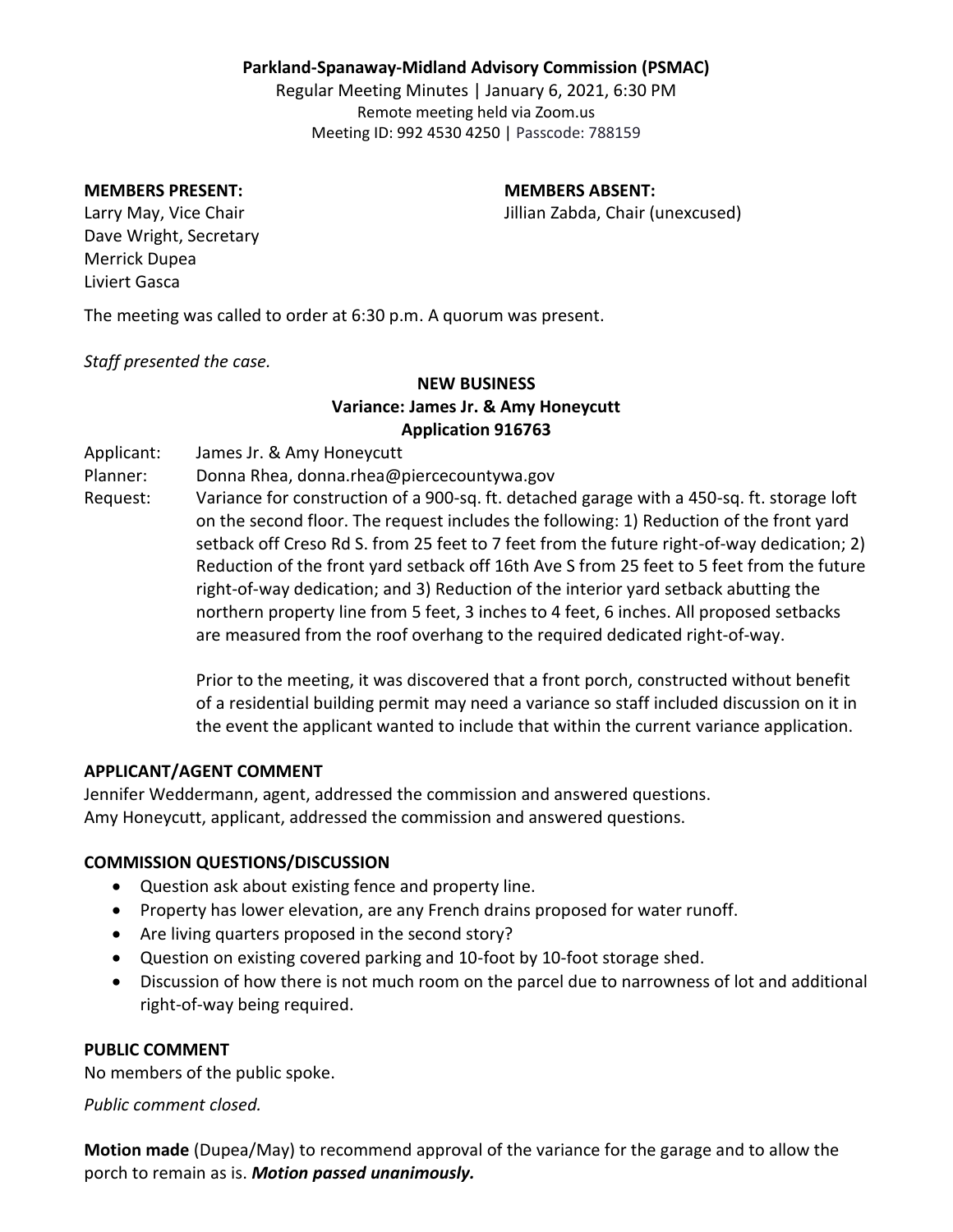### **Parkland-Spanaway-Midland Advisory Commission (PSMAC)**

Regular Meeting Minutes | January 6, 2021, 6:30 PM Remote meeting held via Zoom.us Meeting ID: 992 4530 4250 | Passcode: 788159

#### **MEMBERS PRESENT: MEMBERS ABSENT:**

Larry May, Vice Chair **Jillian Zabda**, Chair (unexcused)

Dave Wright, Secretary Merrick Dupea Liviert Gasca

The meeting was called to order at 6:30 p.m. A quorum was present.

*Staff presented the case.*

# **NEW BUSINESS Variance: James Jr. & Amy Honeycutt Application 916763**

Applicant: James Jr. & Amy Honeycutt

Planner: Donna Rhea, donna.rhea@piercecountywa.gov

Request: Variance for construction of a 900-sq. ft. detached garage with a 450-sq. ft. storage loft on the second floor. The request includes the following: 1) Reduction of the front yard setback off Creso Rd S. from 25 feet to 7 feet from the future right-of-way dedication; 2) Reduction of the front yard setback off 16th Ave S from 25 feet to 5 feet from the future right-of-way dedication; and 3) Reduction of the interior yard setback abutting the northern property line from 5 feet, 3 inches to 4 feet, 6 inches. All proposed setbacks are measured from the roof overhang to the required dedicated right-of-way.

> Prior to the meeting, it was discovered that a front porch, constructed without benefit of a residential building permit may need a variance so staff included discussion on it in the event the applicant wanted to include that within the current variance application.

#### **APPLICANT/AGENT COMMENT**

Jennifer Weddermann, agent, addressed the commission and answered questions. Amy Honeycutt, applicant, addressed the commission and answered questions.

#### **COMMISSION QUESTIONS/DISCUSSION**

- Question ask about existing fence and property line.
- Property has lower elevation, are any French drains proposed for water runoff.
- Are living quarters proposed in the second story?
- Question on existing covered parking and 10-foot by 10-foot storage shed.
- Discussion of how there is not much room on the parcel due to narrowness of lot and additional right-of-way being required.

#### **PUBLIC COMMENT**

No members of the public spoke.

*Public comment closed.*

**Motion made** (Dupea/May) to recommend approval of the variance for the garage and to allow the porch to remain as is. *Motion passed unanimously.*